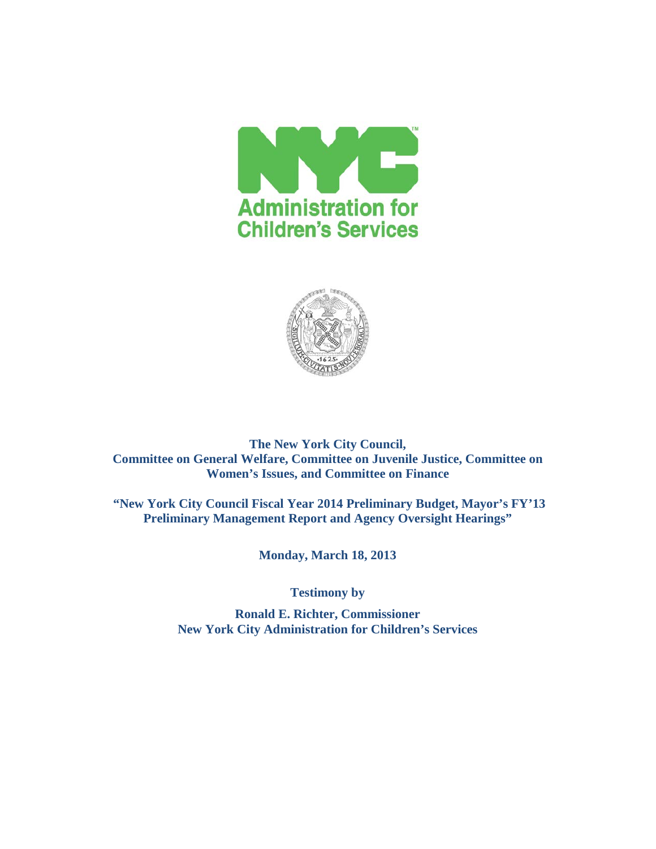



**The New York City Council, Committee on General Welfare, Committee on Juvenile Justice, Committee on Women's Issues, and Committee on Finance**

**"New York City Council Fiscal Year 2014 Preliminary Budget, Mayor's FY'13 Preliminary Management Report and Agency Oversight Hearings"**

**Monday, March 18, 2013**

**Testimony by**

**Ronald E. Richter, Commissioner New York City Administration for Children's Services**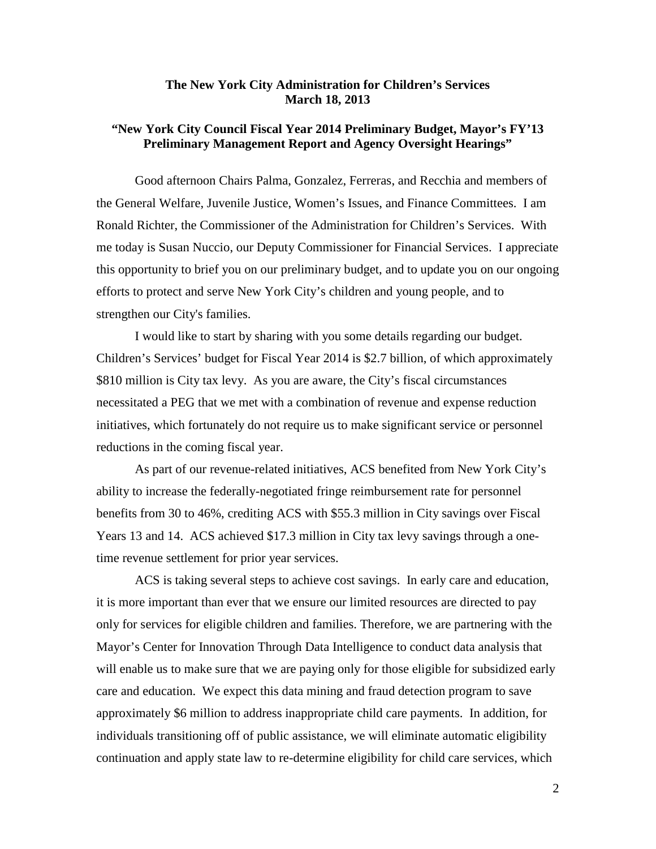## **The New York City Administration for Children's Services March 18, 2013**

# **"New York City Council Fiscal Year 2014 Preliminary Budget, Mayor's FY'13 Preliminary Management Report and Agency Oversight Hearings"**

Good afternoon Chairs Palma, Gonzalez, Ferreras, and Recchia and members of the General Welfare, Juvenile Justice, Women's Issues, and Finance Committees. I am Ronald Richter, the Commissioner of the Administration for Children's Services. With me today is Susan Nuccio, our Deputy Commissioner for Financial Services. I appreciate this opportunity to brief you on our preliminary budget, and to update you on our ongoing efforts to protect and serve New York City's children and young people, and to strengthen our City's families.

I would like to start by sharing with you some details regarding our budget. Children's Services' budget for Fiscal Year 2014 is \$2.7 billion, of which approximately \$810 million is City tax levy. As you are aware, the City's fiscal circumstances necessitated a PEG that we met with a combination of revenue and expense reduction initiatives, which fortunately do not require us to make significant service or personnel reductions in the coming fiscal year.

As part of our revenue-related initiatives, ACS benefited from New York City's ability to increase the federally-negotiated fringe reimbursement rate for personnel benefits from 30 to 46%, crediting ACS with \$55.3 million in City savings over Fiscal Years 13 and 14. ACS achieved \$17.3 million in City tax levy savings through a onetime revenue settlement for prior year services.

ACS is taking several steps to achieve cost savings. In early care and education, it is more important than ever that we ensure our limited resources are directed to pay only for services for eligible children and families. Therefore, we are partnering with the Mayor's Center for Innovation Through Data Intelligence to conduct data analysis that will enable us to make sure that we are paying only for those eligible for subsidized early care and education. We expect this data mining and fraud detection program to save approximately \$6 million to address inappropriate child care payments. In addition, for individuals transitioning off of public assistance, we will eliminate automatic eligibility continuation and apply state law to re-determine eligibility for child care services, which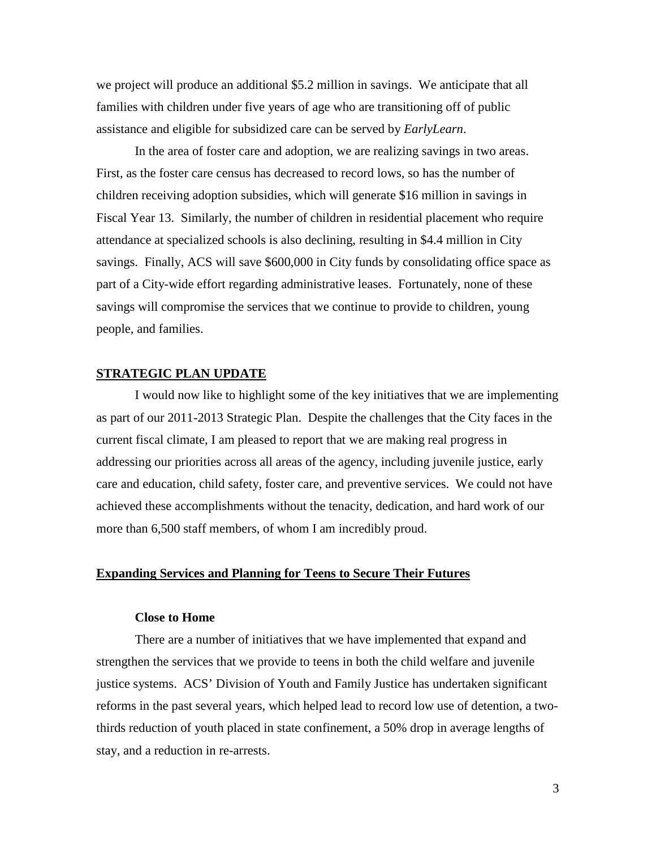we project will produce an additional \$5.2 million in savings. We anticipate that all families with children under five years of age who are transitioning off of public assistance and eligible for subsidized care can be served by *EarlyLearn*.

In the area of foster care and adoption, we are realizing savings in two areas. First, as the foster care census has decreased to record lows, so has the number of children receiving adoption subsidies, which will generate \$16 million in savings in Fiscal Year 13. Similarly, the number of children in residential placement who require attendance at specialized schools is also declining, resulting in \$4.4 million in City savings. Finally, ACS will save \$600,000 in City funds by consolidating office space as part of a City-wide effort regarding administrative leases. Fortunately, none of these savings will compromise the services that we continue to provide to children, young people, and families.

## **STRATEGIC PLAN UPDATE**

I would now like to highlight some of the key initiatives that we are implementing as part of our 2011-2013 Strategic Plan. Despite the challenges that the City faces in the current fiscal climate, I am pleased to report that we are making real progress in addressing our priorities across all areas of the agency, including juvenile justice, early care and education, child safety, foster care, and preventive services. We could not have achieved these accomplishments without the tenacity, dedication, and hard work of our more than 6,500 staff members, of whom I am incredibly proud.

## **Expanding Services and Planning for Teens to Secure Their Futures**

#### **Close to Home**

There are a number of initiatives that we have implemented that expand and strengthen the services that we provide to teens in both the child welfare and juvenile justice systems. ACS' Division of Youth and Family Justice has undertaken significant reforms in the past several years, which helped lead to record low use of detention, a twothirds reduction of youth placed in state confinement, a 50% drop in average lengths of stay, and a reduction in re-arrests.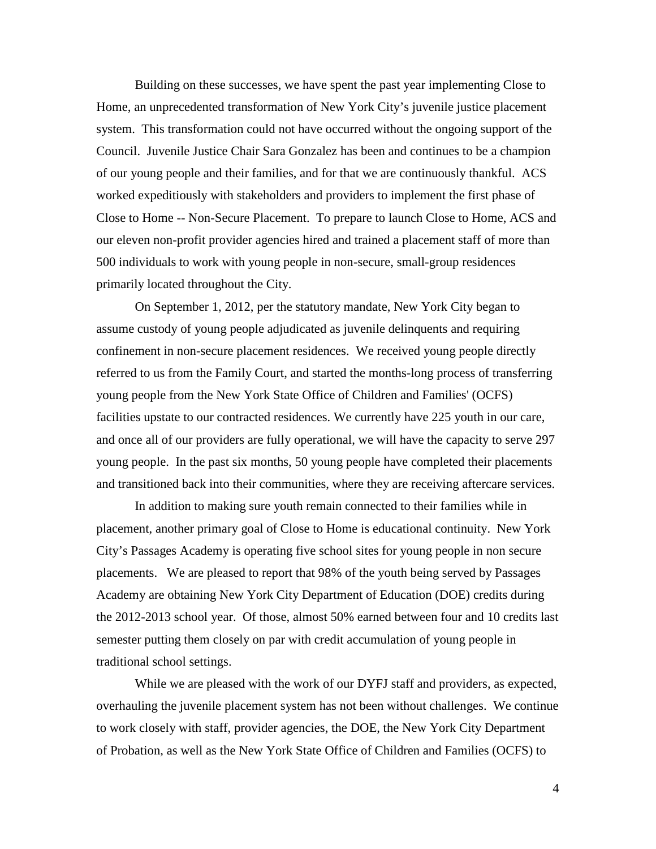Building on these successes, we have spent the past year implementing Close to Home, an unprecedented transformation of New York City's juvenile justice placement system. This transformation could not have occurred without the ongoing support of the Council. Juvenile Justice Chair Sara Gonzalez has been and continues to be a champion of our young people and their families, and for that we are continuously thankful. ACS worked expeditiously with stakeholders and providers to implement the first phase of Close to Home -- Non-Secure Placement. To prepare to launch Close to Home, ACS and our eleven non-profit provider agencies hired and trained a placement staff of more than 500 individuals to work with young people in non-secure, small-group residences primarily located throughout the City.

On September 1, 2012, per the statutory mandate, New York City began to assume custody of young people adjudicated as juvenile delinquents and requiring confinement in non-secure placement residences. We received young people directly referred to us from the Family Court, and started the months-long process of transferring young people from the New York State Office of Children and Families' (OCFS) facilities upstate to our contracted residences. We currently have 225 youth in our care, and once all of our providers are fully operational, we will have the capacity to serve 297 young people. In the past six months, 50 young people have completed their placements and transitioned back into their communities, where they are receiving aftercare services.

In addition to making sure youth remain connected to their families while in placement, another primary goal of Close to Home is educational continuity. New York City's Passages Academy is operating five school sites for young people in non secure placements. We are pleased to report that 98% of the youth being served by Passages Academy are obtaining New York City Department of Education (DOE) credits during the 2012-2013 school year. Of those, almost 50% earned between four and 10 credits last semester putting them closely on par with credit accumulation of young people in traditional school settings.

While we are pleased with the work of our DYFJ staff and providers, as expected, overhauling the juvenile placement system has not been without challenges. We continue to work closely with staff, provider agencies, the DOE, the New York City Department of Probation, as well as the New York State Office of Children and Families (OCFS) to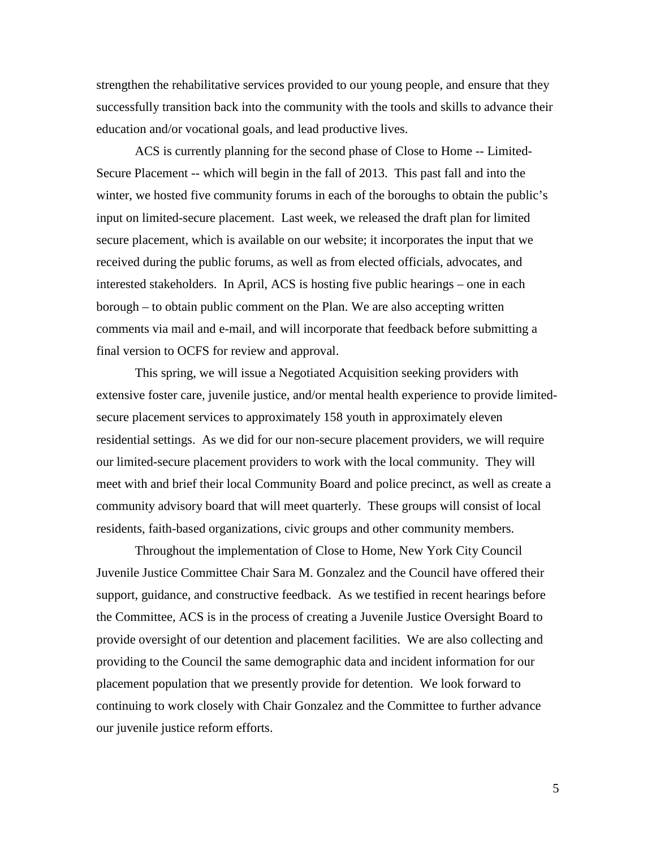strengthen the rehabilitative services provided to our young people, and ensure that they successfully transition back into the community with the tools and skills to advance their education and/or vocational goals, and lead productive lives.

ACS is currently planning for the second phase of Close to Home -- Limited-Secure Placement -- which will begin in the fall of 2013. This past fall and into the winter, we hosted five community forums in each of the boroughs to obtain the public's input on limited-secure placement. Last week, we released the draft plan for limited secure placement, which is available on our website; it incorporates the input that we received during the public forums, as well as from elected officials, advocates, and interested stakeholders. In April, ACS is hosting five public hearings – one in each borough – to obtain public comment on the Plan. We are also accepting written comments via mail and e-mail, and will incorporate that feedback before submitting a final version to OCFS for review and approval.

This spring, we will issue a Negotiated Acquisition seeking providers with extensive foster care, juvenile justice, and/or mental health experience to provide limitedsecure placement services to approximately 158 youth in approximately eleven residential settings. As we did for our non-secure placement providers, we will require our limited-secure placement providers to work with the local community. They will meet with and brief their local Community Board and police precinct, as well as create a community advisory board that will meet quarterly. These groups will consist of local residents, faith-based organizations, civic groups and other community members.

Throughout the implementation of Close to Home, New York City Council Juvenile Justice Committee Chair Sara M. Gonzalez and the Council have offered their support, guidance, and constructive feedback. As we testified in recent hearings before the Committee, ACS is in the process of creating a Juvenile Justice Oversight Board to provide oversight of our detention and placement facilities. We are also collecting and providing to the Council the same demographic data and incident information for our placement population that we presently provide for detention. We look forward to continuing to work closely with Chair Gonzalez and the Committee to further advance our juvenile justice reform efforts.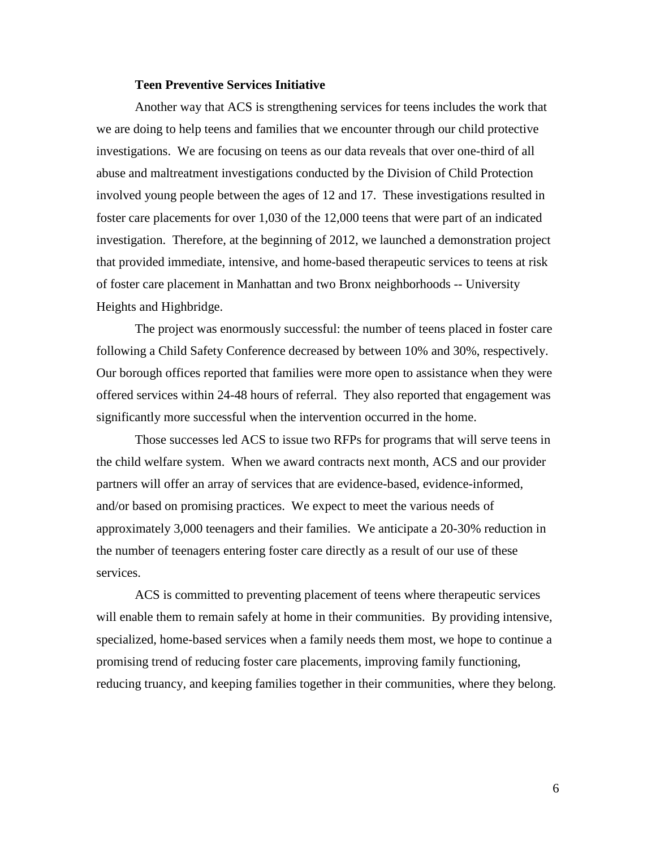#### **Teen Preventive Services Initiative**

Another way that ACS is strengthening services for teens includes the work that we are doing to help teens and families that we encounter through our child protective investigations. We are focusing on teens as our data reveals that over one-third of all abuse and maltreatment investigations conducted by the Division of Child Protection involved young people between the ages of 12 and 17. These investigations resulted in foster care placements for over 1,030 of the 12,000 teens that were part of an indicated investigation. Therefore, at the beginning of 2012, we launched a demonstration project that provided immediate, intensive, and home-based therapeutic services to teens at risk of foster care placement in Manhattan and two Bronx neighborhoods -- University Heights and Highbridge.

The project was enormously successful: the number of teens placed in foster care following a Child Safety Conference decreased by between 10% and 30%, respectively. Our borough offices reported that families were more open to assistance when they were offered services within 24-48 hours of referral. They also reported that engagement was significantly more successful when the intervention occurred in the home.

Those successes led ACS to issue two RFPs for programs that will serve teens in the child welfare system. When we award contracts next month, ACS and our provider partners will offer an array of services that are evidence-based, evidence-informed, and/or based on promising practices. We expect to meet the various needs of approximately 3,000 teenagers and their families. We anticipate a 20-30% reduction in the number of teenagers entering foster care directly as a result of our use of these services.

ACS is committed to preventing placement of teens where therapeutic services will enable them to remain safely at home in their communities. By providing intensive, specialized, home-based services when a family needs them most, we hope to continue a promising trend of reducing foster care placements, improving family functioning, reducing truancy, and keeping families together in their communities, where they belong.

6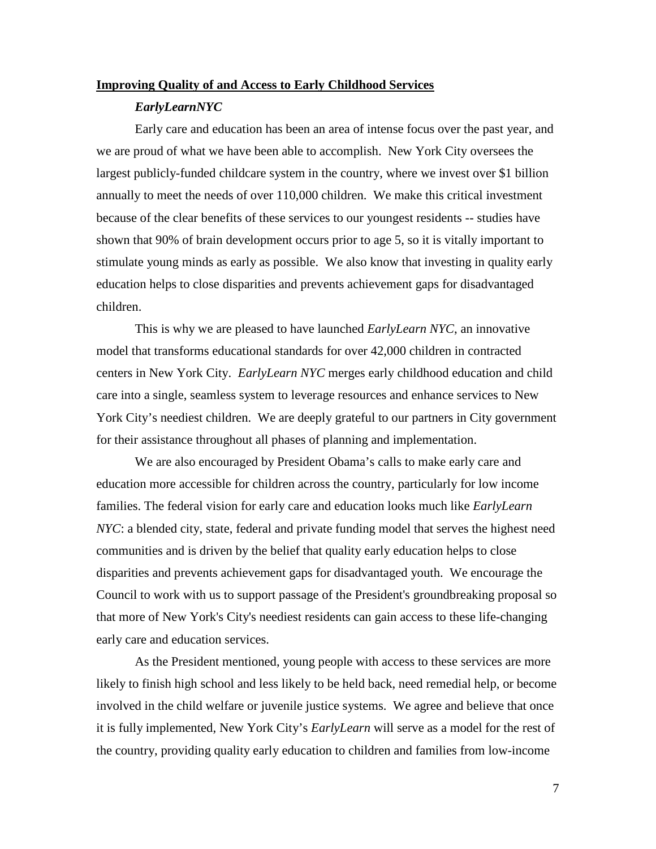#### **Improving Quality of and Access to Early Childhood Services**

#### *EarlyLearnNYC*

Early care and education has been an area of intense focus over the past year, and we are proud of what we have been able to accomplish. New York City oversees the largest publicly-funded childcare system in the country, where we invest over \$1 billion annually to meet the needs of over 110,000 children. We make this critical investment because of the clear benefits of these services to our youngest residents -- studies have shown that 90% of brain development occurs prior to age 5, so it is vitally important to stimulate young minds as early as possible. We also know that investing in quality early education helps to close disparities and prevents achievement gaps for disadvantaged children.

This is why we are pleased to have launched *EarlyLearn NYC*, an innovative model that transforms educational standards for over 42,000 children in contracted centers in New York City. *EarlyLearn NYC* merges early childhood education and child care into a single, seamless system to leverage resources and enhance services to New York City's neediest children. We are deeply grateful to our partners in City government for their assistance throughout all phases of planning and implementation.

We are also encouraged by President Obama's calls to make early care and education more accessible for children across the country, particularly for low income families. The federal vision for early care and education looks much like *EarlyLearn NYC*: a blended city, state, federal and private funding model that serves the highest need communities and is driven by the belief that quality early education helps to close disparities and prevents achievement gaps for disadvantaged youth. We encourage the Council to work with us to support passage of the President's groundbreaking proposal so that more of New York's City's neediest residents can gain access to these life-changing early care and education services.

As the President mentioned, young people with access to these services are more likely to finish high school and less likely to be held back, need remedial help, or become involved in the child welfare or juvenile justice systems. We agree and believe that once it is fully implemented, New York City's *EarlyLearn* will serve as a model for the rest of the country, providing quality early education to children and families from low-income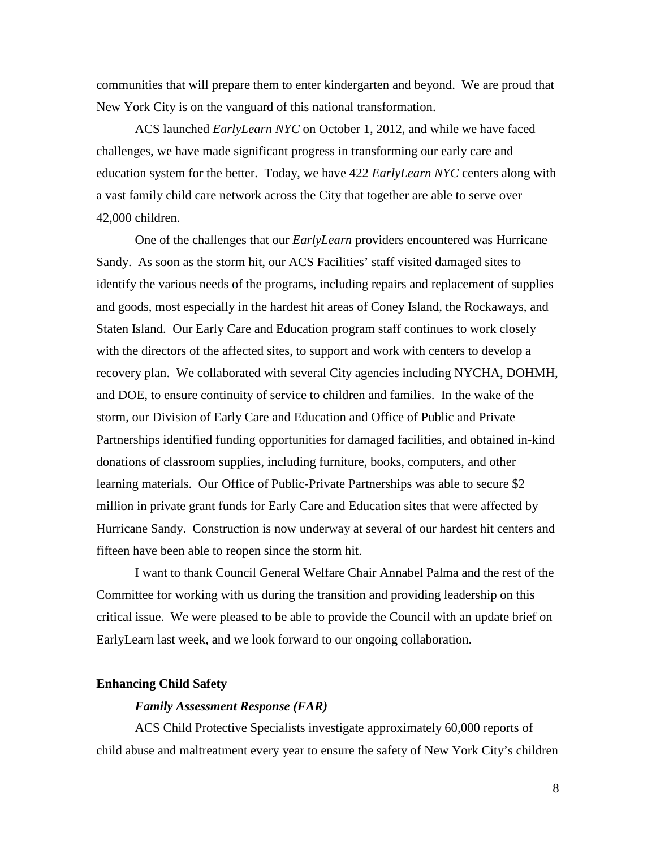communities that will prepare them to enter kindergarten and beyond. We are proud that New York City is on the vanguard of this national transformation.

ACS launched *EarlyLearn NYC* on October 1, 2012, and while we have faced challenges, we have made significant progress in transforming our early care and education system for the better. Today, we have 422 *EarlyLearn NYC* centers along with a vast family child care network across the City that together are able to serve over 42,000 children.

One of the challenges that our *EarlyLearn* providers encountered was Hurricane Sandy. As soon as the storm hit, our ACS Facilities' staff visited damaged sites to identify the various needs of the programs, including repairs and replacement of supplies and goods, most especially in the hardest hit areas of Coney Island, the Rockaways, and Staten Island. Our Early Care and Education program staff continues to work closely with the directors of the affected sites, to support and work with centers to develop a recovery plan. We collaborated with several City agencies including NYCHA, DOHMH, and DOE, to ensure continuity of service to children and families. In the wake of the storm, our Division of Early Care and Education and Office of Public and Private Partnerships identified funding opportunities for damaged facilities, and obtained in-kind donations of classroom supplies, including furniture, books, computers, and other learning materials. Our Office of Public-Private Partnerships was able to secure \$2 million in private grant funds for Early Care and Education sites that were affected by Hurricane Sandy. Construction is now underway at several of our hardest hit centers and fifteen have been able to reopen since the storm hit.

I want to thank Council General Welfare Chair Annabel Palma and the rest of the Committee for working with us during the transition and providing leadership on this critical issue. We were pleased to be able to provide the Council with an update brief on EarlyLearn last week, and we look forward to our ongoing collaboration.

#### **Enhancing Child Safety**

## *Family Assessment Response (FAR)*

ACS Child Protective Specialists investigate approximately 60,000 reports of child abuse and maltreatment every year to ensure the safety of New York City's children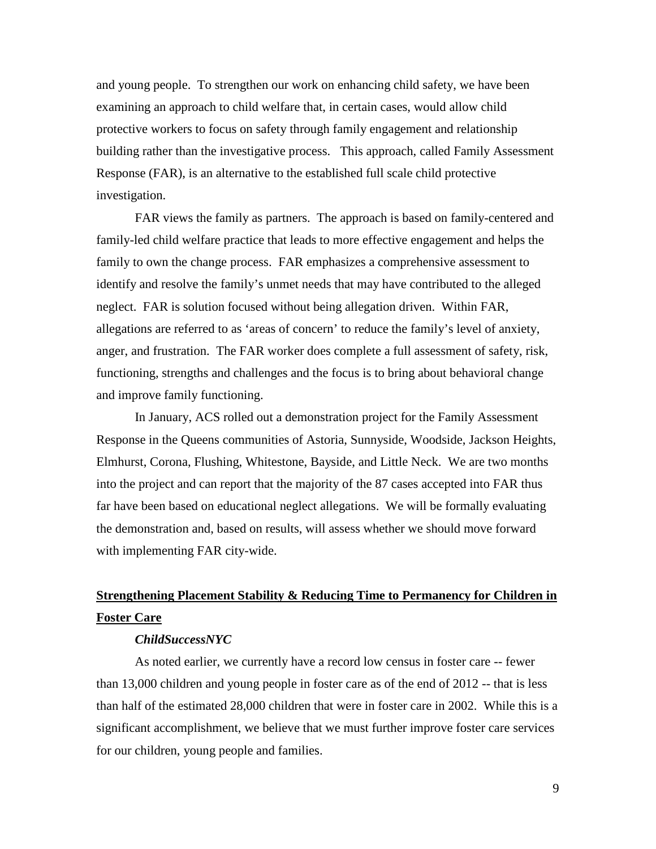and young people. To strengthen our work on enhancing child safety, we have been examining an approach to child welfare that, in certain cases, would allow child protective workers to focus on safety through family engagement and relationship building rather than the investigative process. This approach, called Family Assessment Response (FAR), is an alternative to the established full scale child protective investigation.

FAR views the family as partners. The approach is based on family-centered and family-led child welfare practice that leads to more effective engagement and helps the family to own the change process. FAR emphasizes a comprehensive assessment to identify and resolve the family's unmet needs that may have contributed to the alleged neglect. FAR is solution focused without being allegation driven. Within FAR, allegations are referred to as 'areas of concern' to reduce the family's level of anxiety, anger, and frustration. The FAR worker does complete a full assessment of safety, risk, functioning, strengths and challenges and the focus is to bring about behavioral change and improve family functioning.

In January, ACS rolled out a demonstration project for the Family Assessment Response in the Queens communities of Astoria, Sunnyside, Woodside, Jackson Heights, Elmhurst, Corona, Flushing, Whitestone, Bayside, and Little Neck. We are two months into the project and can report that the majority of the 87 cases accepted into FAR thus far have been based on educational neglect allegations. We will be formally evaluating the demonstration and, based on results, will assess whether we should move forward with implementing FAR city-wide.

# **Strengthening Placement Stability & Reducing Time to Permanency for Children in Foster Care**

#### *ChildSuccessNYC*

As noted earlier, we currently have a record low census in foster care -- fewer than 13,000 children and young people in foster care as of the end of 2012 -- that is less than half of the estimated 28,000 children that were in foster care in 2002. While this is a significant accomplishment, we believe that we must further improve foster care services for our children, young people and families.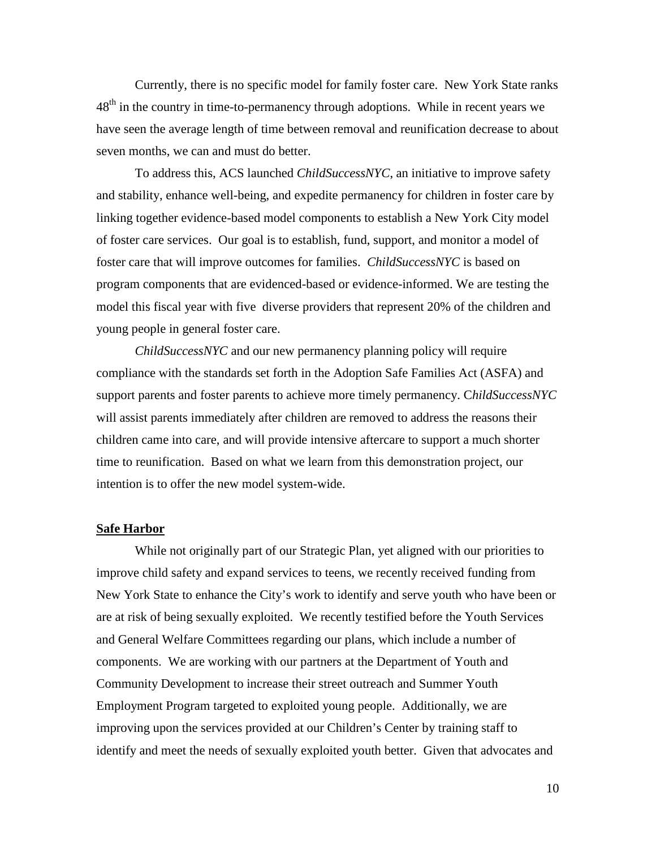Currently, there is no specific model for family foster care. New York State ranks  $48<sup>th</sup>$  in the country in time-to-permanency through adoptions. While in recent years we have seen the average length of time between removal and reunification decrease to about seven months, we can and must do better.

To address this, ACS launched *ChildSuccessNYC*, an initiative to improve safety and stability, enhance well-being, and expedite permanency for children in foster care by linking together evidence-based model components to establish a New York City model of foster care services. Our goal is to establish, fund, support, and monitor a model of foster care that will improve outcomes for families. *ChildSuccessNYC* is based on program components that are evidenced-based or evidence-informed. We are testing the model this fiscal year with five diverse providers that represent 20% of the children and young people in general foster care.

*ChildSuccessNYC* and our new permanency planning policy will require compliance with the standards set forth in the Adoption Safe Families Act (ASFA) and support parents and foster parents to achieve more timely permanency. C*hildSuccessNYC* will assist parents immediately after children are removed to address the reasons their children came into care, and will provide intensive aftercare to support a much shorter time to reunification. Based on what we learn from this demonstration project, our intention is to offer the new model system-wide.

#### **Safe Harbor**

While not originally part of our Strategic Plan, yet aligned with our priorities to improve child safety and expand services to teens, we recently received funding from New York State to enhance the City's work to identify and serve youth who have been or are at risk of being sexually exploited. We recently testified before the Youth Services and General Welfare Committees regarding our plans, which include a number of components. We are working with our partners at the Department of Youth and Community Development to increase their street outreach and Summer Youth Employment Program targeted to exploited young people. Additionally, we are improving upon the services provided at our Children's Center by training staff to identify and meet the needs of sexually exploited youth better. Given that advocates and

10